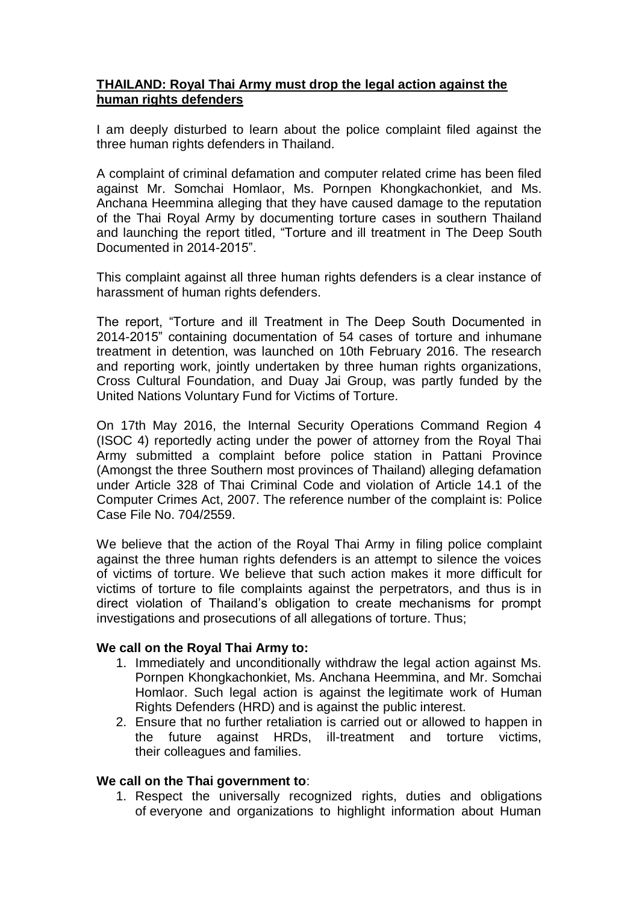## **THAILAND: Royal Thai Army must drop the legal action against the human rights defenders**

I am deeply disturbed to learn about the police complaint filed against the three human rights defenders in Thailand.

A complaint of criminal defamation and computer related crime has been filed against Mr. Somchai Homlaor, Ms. Pornpen Khongkachonkiet, and Ms. Anchana Heemmina alleging that they have caused damage to the reputation of the Thai Royal Army by documenting torture cases in southern Thailand and launching the report titled, "Torture and ill treatment in The Deep South Documented in 2014-2015".

This complaint against all three human rights defenders is a clear instance of harassment of human rights defenders.

The report, "Torture and ill Treatment in The Deep South Documented in 2014-2015" containing documentation of 54 cases of torture and inhumane treatment in detention, was launched on 10th February 2016. The research and reporting work, jointly undertaken by three human rights organizations, Cross Cultural Foundation, and Duay Jai Group, was partly funded by the United Nations Voluntary Fund for Victims of Torture.

On 17th May 2016, the Internal Security Operations Command Region 4 (ISOC 4) reportedly acting under the power of attorney from the Royal Thai Army submitted a complaint before police station in Pattani Province (Amongst the three Southern most provinces of Thailand) alleging defamation under Article 328 of Thai Criminal Code and violation of Article 14.1 of the Computer Crimes Act, 2007. The reference number of the complaint is: Police Case File No. 704/2559.

We believe that the action of the Royal Thai Army in filing police complaint against the three human rights defenders is an attempt to silence the voices of victims of torture. We believe that such action makes it more difficult for victims of torture to file complaints against the perpetrators, and thus is in direct violation of Thailand's obligation to create mechanisms for prompt investigations and prosecutions of all allegations of torture. Thus;

## **We call on the Royal Thai Army to:**

- 1. Immediately and unconditionally withdraw the legal action against Ms. Pornpen Khongkachonkiet, Ms. Anchana Heemmina, and Mr. Somchai Homlaor. Such legal action is against the legitimate work of Human Rights Defenders (HRD) and is against the public interest.
- 2. Ensure that no further retaliation is carried out or allowed to happen in the future against HRDs, ill-treatment and torture victims, their colleagues and families.

## **We call on the Thai government to**:

1. Respect the universally recognized rights, duties and obligations of everyone and organizations to highlight information about Human